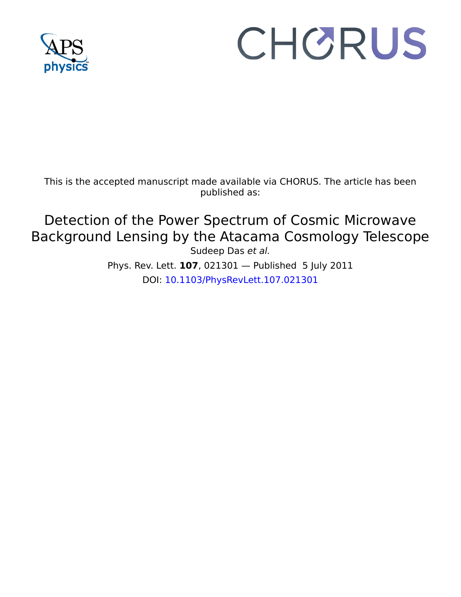

## CHORUS

This is the accepted manuscript made available via CHORUS. The article has been published as:

## Detection of the Power Spectrum of Cosmic Microwave Background Lensing by the Atacama Cosmology Telescope Sudeep Das et al.

Phys. Rev. Lett. **107**, 021301 — Published 5 July 2011 DOI: [10.1103/PhysRevLett.107.021301](http://dx.doi.org/10.1103/PhysRevLett.107.021301)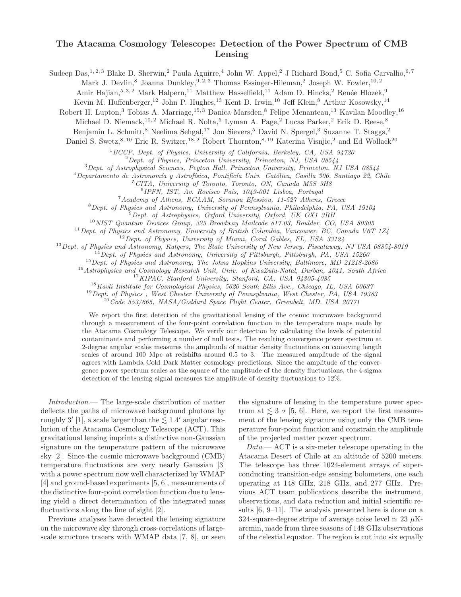## The Atacama Cosmology Telescope: Detection of the Power Spectrum of CMB Lensing

Sudeep Das,<sup>1, 2, 3</sup> Blake D. Sherwin,<sup>2</sup> Paula Aguirre,<sup>4</sup> John W. Appel,<sup>2</sup> J Richard Bond,<sup>5</sup> C. Sofia Carvalho,<sup>6,7</sup>

Mark J. Devlin,<sup>8</sup> Joanna Dunkley,<sup>9, 2, 3</sup> Thomas Essinger-Hileman,<sup>2</sup> Joseph W. Fowler,<sup>10, 2</sup>

Amir Hajian, 5, 3, 2 Mark Halpern, <sup>11</sup> Matthew Hasselfield, <sup>11</sup> Adam D. Hincks, <sup>2</sup> Renée Hlozek, <sup>9</sup>

Kevin M. Huffenberger,<sup>12</sup> John P. Hughes,<sup>13</sup> Kent D. Irwin,<sup>10</sup> Jeff Klein,<sup>8</sup> Arthur Kosowsky,<sup>14</sup>

Robert H. Lupton,<sup>3</sup> Tobias A. Marriage,<sup>15, 3</sup> Danica Marsden,<sup>8</sup> Felipe Menanteau,<sup>13</sup> Kavilan Moodley,<sup>16</sup>

Michael D. Niemack,<sup>10, 2</sup> Michael R. Nolta,<sup>5</sup> Lyman A. Page,<sup>2</sup> Lucas Parker,<sup>2</sup> Erik D. Reese,<sup>8</sup>

Benjamin L. Schmitt,<sup>8</sup> Neelima Sehgal,<sup>17</sup> Jon Sievers,<sup>5</sup> David N. Spergel,<sup>3</sup> Suzanne T. Staggs,<sup>2</sup>

Daniel S. Swetz,<sup>8, 10</sup> Eric R. Switzer,<sup>18, 2</sup> Robert Thornton,<sup>8, 19</sup> Katerina Visnjic,<sup>2</sup> and Ed Wollack<sup>20</sup>

 $1BCCP$ , Dept. of Physics, University of California, Berkeley, CA, USA  $94720$ 

 ${}^{2}$ Dept. of Physics, Princeton University, Princeton, NJ, USA 08544

 $3$  Dept. of Astrophysical Sciences, Peyton Hall, Princeton University, Princeton, NJ USA 08544

 $^4$ Departamento de Astronomía y Astrofísica, Pontificía Univ. Católica, Casilla 306, Santiago 22, Chile

<sup>5</sup>CITA, University of Toronto, Toronto, ON, Canada M5S 3H8

6 IPFN, IST, Av. Rovisco Pais, 1049-001 Lisboa, Portugal

<sup>7</sup>Academy of Athens, RCAAM, Soranou Efessiou, 11-527 Athens, Greece

<sup>8</sup>Dept. of Physics and Astronomy, University of Pennsylvania, Philadelphia, PA, USA 19104

 $^{9}$ Dept. of Astrophysics, Oxford University, Oxford, UK OX1 3RH

<sup>10</sup>NIST Quantum Devices Group, 325 Broadway Mailcode 817.03, Boulder, CO, USA 80305

 $11$  Dept. of Physics and Astronomy, University of British Columbia, Vancouver, BC, Canada V6T 1Z4

<sup>12</sup>Dept. of Physics, University of Miami, Coral Gables, FL, USA 33124

<sup>13</sup> Dept. of Physics and Astronomy, Rutgers, The State University of New Jersey, Piscataway, NJ USA 08854-8019

 ${}^{1}$ Dept. of Physics and Astronomy, University of Pittsburgh, Pittsburgh, PA, USA 15260

<sup>15</sup>Dept. of Physics and Astronomy, The Johns Hopkins University, Baltimore, MD 21218-2686

<sup>16</sup>Astrophysics and Cosmology Research Unit, Univ. of KwaZulu-Natal, Durban, 4041, South Africa

<sup>17</sup>KIPAC, Stanford University, Stanford, CA, USA 94305-4085

<sup>18</sup>Kavli Institute for Cosmological Physics, 5620 South Ellis Ave., Chicago, IL, USA 60637

<sup>19</sup>Dept. of Physics , West Chester University of Pennsylvania, West Chester, PA, USA 19383

<sup>20</sup>Code 553/665, NASA/Goddard Space Flight Center, Greenbelt, MD, USA 20771

mento de Astronomia y Astrojisaca, Pontincia Univ. Catoloca, Cass<br>
<sup>5</sup> CTTA, University of Toronto, Toronto, ON, Canada  $\frac{5}{1}$ <br>
<sup>6</sup> CTTA, University of Toronto, Toronto, ON, Canada  $\frac{5}{1}$ <br>  $\frac{1}{1}$ , the set of Athe "FOR  $P_{BPS}$ , Granda Distribution, Herekola, Cat, USA 9879<br>
The differential contents of California, Herekola, N. (1931–68344<br>
"Dept. of Physics, Prunction Distervalis, Prencision, N. (1931–68344<br>
"Dept. of Physics Schema We report the first detection of the gravitational lensing of the cosmic microwave background through a measurement of the four-point correlation function in the temperature maps made by the Atacama Cosmology Telescope. We verify our detection by calculating the levels of potential contaminants and performing a number of null tests. The resulting convergence power spectrum at 2-degree angular scales measures the amplitude of matter density fluctuations on comoving length scales of around 100 Mpc at redshifts around 0.5 to 3. The measured amplitude of the signal agrees with Lambda Cold Dark Matter cosmology predictions. Since the amplitude of the convergence power spectrum scales as the square of the amplitude of the density fluctuations, the 4-sigma detection of the lensing signal measures the amplitude of density fluctuations to 12%.

Introduction.— The large-scale distribution of matter deflects the paths of microwave background photons by roughly 3' [1], a scale larger than the  $\lesssim 1.4'$  angular resolution of the Atacama Cosmology Telescope (ACT). This gravitational lensing imprints a distinctive non-Gaussian signature on the temperature pattern of the microwave sky [2]. Since the cosmic microwave background (CMB) temperature fluctuations are very nearly Gaussian [3] with a power spectrum now well characterized by WMAP [4] and ground-based experiments [5, 6], measurements of the distinctive four-point correlation function due to lensing yield a direct determination of the integrated mass fluctuations along the line of sight [2].

Previous analyses have detected the lensing signature on the microwave sky through cross-correlations of largescale structure tracers with WMAP data [7, 8], or seen

the signature of lensing in the temperature power spectrum at  $\leq 3 \sigma$  [5, 6]. Here, we report the first measurement of the lensing signature using only the CMB temperature four-point function and constrain the amplitude of the projected matter power spectrum.

 $Data$ — ACT is a six-meter telescope operating in the Atacama Desert of Chile at an altitude of 5200 meters. The telescope has three 1024-element arrays of superconducting transition-edge sensing bolometers, one each operating at 148 GHz, 218 GHz, and 277 GHz. Previous ACT team publications describe the instrument, observations, and data reduction and initial scientific results [6, 9–11]. The analysis presented here is done on a 324-square-degree stripe of average noise level  $\simeq 23 \mu$ Karcmin, made from three seasons of 148 GHz observations of the celestial equator. The region is cut into six equally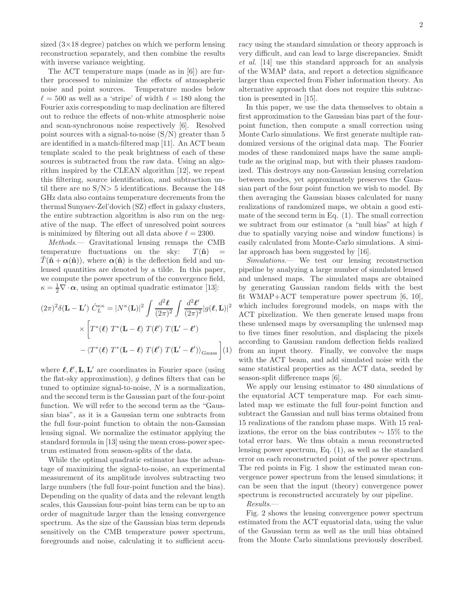sized  $(3\times18$  degree) patches on which we perform lensing reconstruction separately, and then combine the results with inverse variance weighting.

The ACT temperature maps (made as in [6]) are further processed to minimize the effects of atmospheric noise and point sources. Temperature modes below  $\ell = 500$  as well as a 'stripe' of width  $\ell = 180$  along the Fourier axis corresponding to map declination are filtered out to reduce the effects of non-white atmospheric noise and scan-synchronous noise respectively [6]. Resolved point sources with a signal-to-noise  $(S/N)$  greater than 5 are identified in a match-filtered map [11]. An ACT beam template scaled to the peak brightness of each of these sources is subtracted from the raw data. Using an algorithm inspired by the CLEAN algorithm [12], we repeat this filtering, source identification, and subtraction until there are no  $S/N> 5$  identifications. Because the 148 GHz data also contains temperature decrements from the thermal Sunyaev-Zel'dovich (SZ) effect in galaxy clusters, the entire subtraction algorithm is also run on the negative of the map. The effect of unresolved point sources is minimized by filtering out all data above  $\ell = 2300$ .

Methods.— Gravitational lensing remaps the CMB temperature fluctuations on the sky:  $T(\hat{\mathbf{n}})$  =  $\hat{T}(\hat{\mathbf{n}} + \alpha(\hat{\mathbf{n}}))$ , where  $\alpha(\hat{\mathbf{n}})$  is the deflection field and unlensed quantities are denoted by a tilde. In this paper, we compute the power spectrum of the convergence field,  $\kappa = \frac{1}{2} \nabla \cdot \boldsymbol{\alpha}$ , using an optimal quadratic estimator [13]:

$$
(2\pi)^2 \delta(\mathbf{L} - \mathbf{L}') \hat{C}_L^{\kappa\kappa} = |N^{\kappa}(\mathbf{L})|^2 \int \frac{d^2 \ell}{(2\pi)^2} \int \frac{d^2 \ell'}{(2\pi)^2} |g(\ell, \mathbf{L})|^2
$$

$$
\times \left[ T^*(\ell) \ T^*(\mathbf{L} - \ell) \ T(\ell') \ T(\mathbf{L}' - \ell') \right.
$$

$$
- \langle T^*(\ell) \ T^*(\mathbf{L} - \ell) \ T(\ell') \ T(\mathbf{L}' - \ell') \rangle_{\text{Gauss}} \right] (1)
$$

where  $\ell, \ell', L, L'$  are coordinates in Fourier space (using the flat-sky approximation),  $g$  defines filters that can be tuned to optimize signal-to-noise,  $N$  is a normalization, and the second term is the Gaussian part of the four-point function. We will refer to the second term as the "Gaussian bias", as it is a Gaussian term one subtracts from the full four-point function to obtain the non-Gaussian lensing signal. We normalize the estimator applying the standard formula in [13] using the mean cross-power spectrum estimated from season-splits of the data.

While the optimal quadratic estimator has the advantage of maximizing the signal-to-noise, an experimental measurement of its amplitude involves subtracting two large numbers (the full four-point function and the bias). Depending on the quality of data and the relevant length scales, this Gaussian four-point bias term can be up to an order of magnitude larger than the lensing convergence spectrum. As the size of the Gaussian bias term depends sensitively on the CMB temperature power spectrum, foregrounds and noise, calculating it to sufficient accuracy using the standard simulation or theory approach is very difficult, and can lead to large discrepancies. Smidt et al. [14] use this standard approach for an analysis of the WMAP data, and report a detection significance larger than expected from Fisher information theory. An alternative approach that does not require this subtraction is presented in [15].

In this paper, we use the data themselves to obtain a first approximation to the Gaussian bias part of the fourpoint function, then compute a small correction using Monte Carlo simulations. We first generate multiple randomized versions of the original data map. The Fourier modes of these randomized maps have the same amplitude as the original map, but with their phases randomized. This destroys any non-Gaussian lensing correlation between modes, yet approximately preserves the Gaussian part of the four point function we wish to model. By then averaging the Gaussian biases calculated for many realizations of randomized maps, we obtain a good estimate of the second term in Eq. (1). The small correction we subtract from our estimator (a "null bias" at high  $\ell$ due to spatially varying noise and window functions) is easily calculated from Monte-Carlo simulations. A similar approach has been suggested by [16].

Simulations.— We test our lensing reconstruction pipeline by analyzing a large number of simulated lensed and unlensed maps. The simulated maps are obtained by generating Gaussian random fields with the best fit WMAP+ACT temperature power spectrum [6, 10], which includes foreground models, on maps with the ACT pixelization. We then generate lensed maps from these unlensed maps by oversampling the unlensed map to five times finer resolution, and displacing the pixels according to Gaussian random deflection fields realized from an input theory. Finally, we convolve the maps with the ACT beam, and add simulated noise with the same statistical properties as the ACT data, seeded by season-split difference maps [6].

We apply our lensing estimator to 480 simulations of the equatorial ACT temperature map. For each simulated map we estimate the full four-point function and subtract the Gaussian and null bias terms obtained from 15 realizations of the random phase maps. With 15 realizations, the error on the bias contributes  $\sim 15\%$  to the total error bars. We thus obtain a mean reconstructed lensing power spectrum, Eq. (1), as well as the standard error on each reconstructed point of the power spectrum. The red points in Fig. 1 show the estimated mean convergence power spectrum from the lensed simulations; it can be seen that the input (theory) convergence power spectrum is reconstructed accurately by our pipeline.

Results.—

Fig. 2 shows the lensing convergence power spectrum estimated from the ACT equatorial data, using the value of the Gaussian term as well as the null bias obtained from the Monte Carlo simulations previously described.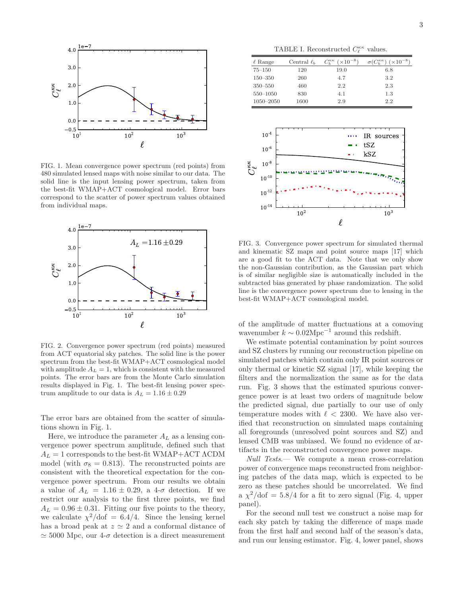

FIG. 1. Mean convergence power spectrum (red points) from 480 simulated lensed maps with noise similar to our data. The solid line is the input lensing power spectrum, taken from the best-fit WMAP+ACT cosmological model. Error bars correspond to the scatter of power spectrum values obtained from individual maps.



FIG. 2. Convergence power spectrum (red points) measured from ACT equatorial sky patches. The solid line is the power spectrum from the best-fit WMAP+ACT cosmological model with amplitude  $A_L = 1$ , which is consistent with the measured points. The error bars are from the Monte Carlo simulation results displayed in Fig. 1. The best-fit lensing power spectrum amplitude to our data is  $A_L = 1.16 \pm 0.29$ 

The error bars are obtained from the scatter of simulations shown in Fig. 1.

Here, we introduce the parameter  $A_L$  as a lensing convergence power spectrum amplitude, defined such that  $A_L = 1$  corresponds to the best-fit WMAP+ACT  $\Lambda$ CDM model (with  $\sigma_8 = 0.813$ ). The reconstructed points are consistent with the theoretical expectation for the convergence power spectrum. From our results we obtain a value of  $A_L = 1.16 \pm 0.29$ , a 4- $\sigma$  detection. If we restrict our analysis to the first three points, we find  $A_L = 0.96 \pm 0.31$ . Fitting our five points to the theory, we calculate  $\chi^2/\text{dof} = 6.4/4$ . Since the lensing kernel has a broad peak at  $z \approx 2$  and a conformal distance of  $\simeq$  5000 Mpc, our 4- $\sigma$  detection is a direct measurement

TABLE I. Reconstructed  $C_{\ell}^{\kappa\kappa}$  values.

| $\ell$ Range  | Central $\ell_b$ | $(x10^{-8})$<br>$C^{\kappa\kappa}_{\kappa}$ | $\cdot$ ( $C_b^{\kappa\kappa}$ )<br>$(x10^{-8})$ |
|---------------|------------------|---------------------------------------------|--------------------------------------------------|
| $75 - 150$    | 120              | 19.0                                        | 6.8                                              |
| $150 - 350$   | 260              | 4.7                                         | 3.2                                              |
| $350 - 550$   | 460              | 2.2                                         | 2.3                                              |
| $550 - 1050$  | 830              | 4.1                                         | $1.3\,$                                          |
| $1050 - 2050$ | 1600             | 2.9                                         | $2.2\,$                                          |



FIG. 3. Convergence power spectrum for simulated thermal and kinematic SZ maps and point source maps [17] which are a good fit to the ACT data. Note that we only show the non-Gaussian contribution, as the Gaussian part which is of similar negligible size is automatically included in the subtracted bias generated by phase randomization. The solid line is the convergence power spectrum due to lensing in the best-fit WMAP+ACT cosmological model.

of the amplitude of matter fluctuations at a comoving wavenumber  $k \sim 0.02 \text{Mpc}^{-1}$  around this redshift.

We estimate potential contamination by point sources and SZ clusters by running our reconstruction pipeline on simulated patches which contain only IR point sources or only thermal or kinetic SZ signal [17], while keeping the filters and the normalization the same as for the data run. Fig. 3 shows that the estimated spurious convergence power is at least two orders of magnitude below the predicted signal, due partially to our use of only temperature modes with  $\ell$  < 2300. We have also verified that reconstruction on simulated maps containing all foregrounds (unresolved point sources and SZ) and lensed CMB was unbiased. We found no evidence of artifacts in the reconstructed convergence power maps.

Null Tests.— We compute a mean cross-correlation power of convergence maps reconstructed from neighboring patches of the data map, which is expected to be zero as these patches should be uncorrelated. We find a  $\chi^2/\text{dof} = 5.8/4$  for a fit to zero signal (Fig. 4, upper panel).

For the second null test we construct a noise map for each sky patch by taking the difference of maps made from the first half and second half of the season's data, and run our lensing estimator. Fig. 4, lower panel, shows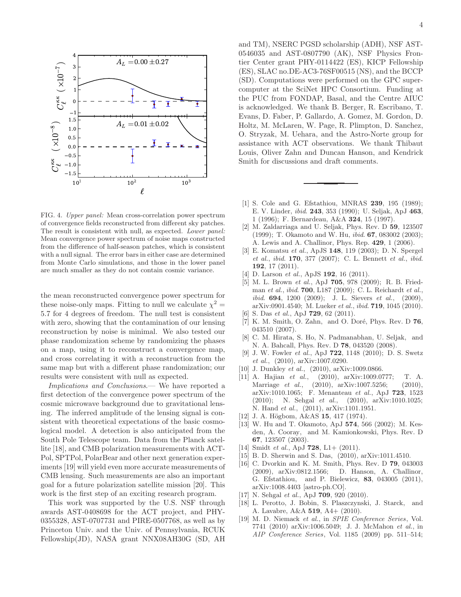

FIG. 4. Upper panel: Mean cross-correlation power spectrum of convergence fields reconstructed from different sky patches. The result is consistent with null, as expected. Lower panel: Mean convergence power spectrum of noise maps constructed from the difference of half-season patches, which is consistent with a null signal. The error bars in either case are determined from Monte Carlo simulations, and those in the lower panel are much smaller as they do not contain cosmic variance.

the mean reconstructed convergence power spectrum for these noise-only maps. Fitting to null we calculate  $\chi^2 =$ 5.7 for 4 degrees of freedom. The null test is consistent with zero, showing that the contamination of our lensing reconstruction by noise is minimal. We also tested our phase randomization scheme by randomizing the phases on a map, using it to reconstruct a convergence map, and cross correlating it with a reconstruction from the same map but with a different phase randomization; our results were consistent with null as expected.

Implications and Conclusions.— We have reported a first detection of the convergence power spectrum of the cosmic microwave background due to gravitational lensing. The inferred amplitude of the lensing signal is consistent with theoretical expectations of the basic cosmological model. A detection is also anticipated from the South Pole Telescope team. Data from the Planck satellite [18], and CMB polarization measurements with ACT-Pol, SPTPol, PolarBear and other next generation experiments [19] will yield even more accurate measurements of CMB lensing. Such measurements are also an important goal for a future polarization satellite mission [20]. This work is the first step of an exciting research program.

This work was supported by the U.S. NSF through awards AST-0408698 for the ACT project, and PHY-0355328, AST-0707731 and PIRE-0507768, as well as by Princeton Univ. and the Univ. of Pennsylvania, RCUK Fellowship(JD), NASA grant NNX08AH30G (SD, AH and TM), NSERC PGSD scholarship (ADH), NSF AST-0546035 and AST-0807790 (AK), NSF Physics Frontier Center grant PHY-0114422 (ES), KICP Fellowship (ES), SLAC no.DE-AC3-76SF00515 (NS), and the BCCP (SD). Computations were performed on the GPC supercomputer at the SciNet HPC Consortium. Funding at the PUC from FONDAP, Basal, and the Centre AIUC is acknowledged. We thank B. Berger, R. Escribano, T. Evans, D. Faber, P. Gallardo, A. Gomez, M. Gordon, D. Holtz, M. McLaren, W. Page, R. Plimpton, D. Sanchez, O. Stryzak, M. Uehara, and the Astro-Norte group for assistance with ACT observations. We thank Thibaut

[1] S. Cole and G. Efstathiou, MNRAS 239, 195 (1989); E. V. Linder, ibid. 243, 353 (1990); U. Seljak, ApJ 463, 1 (1996); F. Bernardeau, A&A 324, 15 (1997).

Louis, Oliver Zahn and Duncan Hanson, and Kendrick

- [2] M. Zaldarriaga and U. Seljak, Phys. Rev. D 59, 123507 (1999); T. Okamoto and W. Hu, ibid. 67, 083002 (2003); A. Lewis and A. Challinor, Phys. Rep. 429, 1 (2006).
- [3] E. Komatsu et al., ApJS 148, 119 (2003); D. N. Spergel et al., ibid. 170, 377 (2007); C. L. Bennett et al., ibid. 192, 17 (2011).
- D. Larson et al., ApJS 192, 16 (2011).

Smith for discussions and draft comments.

- [5] M. L. Brown et al., ApJ 705, 978 (2009); R. B. Friedman et al., ibid. 700, L187 (2009); C. L. Reichardt et al., ibid. **694**, 1200 (2009); J. L. Sievers et al., (2009), arXiv:0901.4540; M. Lueker et al., ibid. 719, 1045 (2010).
- S. Das et al., ApJ **729**, 62 (2011).
- [7] K. M. Smith, O. Zahn, and O. Doré, Phys. Rev. D  $76$ , 043510 (2007).
- [8] C. M. Hirata, S. Ho, N. Padmanabhan, U. Seljak, and N. A. Bahcall, Phys. Rev. D 78, 043520 (2008).
- [9] J. W. Fowler et al., ApJ 722, 1148 (2010); D. S. Swetz et al., (2010), arXiv:1007.0290.
- [10] J. Dunkley et al., (2010), arXiv:1009.0866.
- [11] A. Hajian *et al.*, (2010), arXiv:1009.0777; T. A.<br>Marriage *et al.*, (2010), arXiv:1007.5256; (2010). Marriage et al., (2010), arXiv:1007.5256; arXiv:1010.1065; F. Menanteau et al., ApJ 723, 1523 (2010); N. Sehgal et al., (2010), arXiv:1010.1025; N. Hand et al., (2011), arXiv:1101.1951.
- [12] J. A. Högbom, A&AS 15, 417 (1974).
- [13] W. Hu and T. Okamoto, ApJ 574, 566 (2002); M. Kesden, A. Cooray, and M. Kamionkowski, Phys. Rev. D 67, 123507 (2003).
- [14] Smidt *et al.*, ApJ  $728$ , L1+  $(2011)$ .
- [15] B. D. Sherwin and S. Das, (2010), arXiv:1011.4510.
- [16] C. Dvorkin and K. M. Smith, Phys. Rev. D 79, 043003 (2009), arXiv:0812.1566; D. Hanson, A. Challinor, G. Efstathiou, and P. Bielewicz, 83, 043005 (2011), arXiv:1008.4403 [astro-ph.CO].
- [17] N. Sehgal et al., ApJ  $709$ , 920 (2010).
- [18] L. Perotto, J. Bobin, S. Plaszczynski, J. Starck, and A. Lavabre, A&A 519, A4+ (2010).
- [19] M. D. Niemack et al., in SPIE Conference Series, Vol. 7741 (2010) arXiv:1006.5049; J. J. McMahon et al., in AIP Conference Series, Vol. 1185 (2009) pp. 511–514;